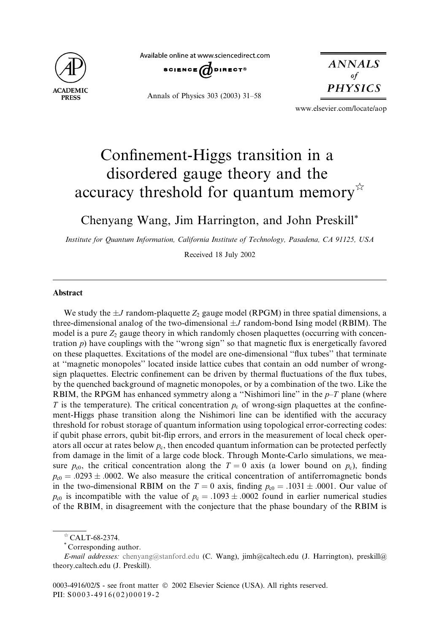

Available online at www.sciencedirect.com



Annals of Physics 303 (2003) 31–58

**ANNALS**  $\mathfrak{a}$ f *PHYSICS* 

www.elsevier.com/locate/aop

# Confinement-Higgs transition in a disordered gauge theory and the accuracy threshold for quantum memory $\vec{r}$

# Chenyang Wang, Jim Harrington, and John Preskill\*

Institute for Quantum Information, California Institute of Technology, Pasadena, CA 91125, USA

Received 18July 2002

#### Abstract

We study the  $\pm J$  random-plaquette  $Z_2$  gauge model (RPGM) in three spatial dimensions, a three-dimensional analog of the two-dimensional  $\pm J$  random-bond Ising model (RBIM). The model is a pure  $Z_2$  gauge theory in which randomly chosen plaquettes (occurring with concentration  $p$ ) have couplings with the "wrong sign" so that magnetic flux is energetically favored on these plaquettes. Excitations of the model are one-dimensional ''flux tubes'' that terminate at ''magnetic monopoles'' located inside lattice cubes that contain an odd number of wrongsign plaquettes. Electric confinement can be driven by thermal fluctuations of the flux tubes, by the quenched background of magnetic monopoles, or by a combination of the two. Like the RBIM, the RPGM has enhanced symmetry along a "Nishimori line" in the  $p-T$  plane (where T is the temperature). The critical concentration  $p_c$  of wrong-sign plaquettes at the confinement-Higgs phase transition along the Nishimori line can be identified with the accuracy threshold for robust storage of quantum information using topological error-correcting codes: if qubit phase errors, qubit bit-flip errors, and errors in the measurement of local check operators all occur at rates below  $p_c$ , then encoded quantum information can be protected perfectly from damage in the limit of a large code block. Through Monte-Carlo simulations, we measure  $p_{c0}$ , the critical concentration along the  $T = 0$  axis (a lower bound on  $p_c$ ), finding  $p_{c0} = .0293 \pm .0002$ . We also measure the critical concentration of antiferromagnetic bonds in the two-dimensional RBIM on the  $T = 0$  axis, finding  $p_{c0} = .1031 \pm .0001$ . Our value of  $p_{c0}$  is incompatible with the value of  $p_c = .1093 \pm .0002$  found in earlier numerical studies of the RBIM, in disagreement with the conjecture that the phase boundary of the RBIM is

 $*$  CALT-68-2374.

<sup>\*</sup> Corresponding author.

E-mail addresses: [chenyang@stanford.edu](mail to: chenyang@stanford.edu) (C. Wang), jimh@caltech.edu (J. Harrington), preskill@ theory.caltech.edu (J. Preskill).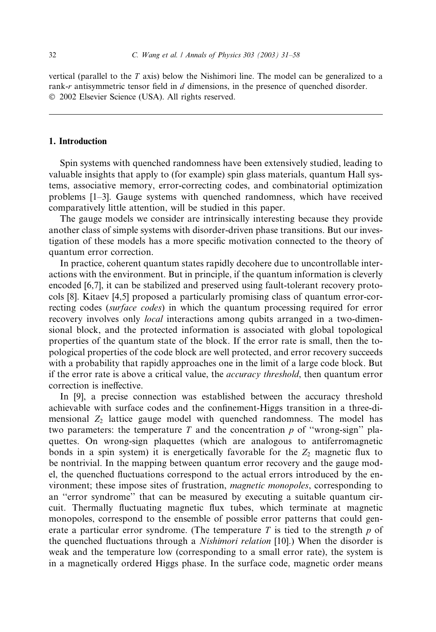vertical (parallel to the T axis) below the Nishimori line. The model can be generalized to a rank-r antisymmetric tensor field in d dimensions, in the presence of quenched disorder. 2002 Elsevier Science (USA). All rights reserved.

#### 1. Introduction

Spin systems with quenched randomness have been extensively studied, leading to valuable insights that apply to (for example) spin glass materials, quantum Hall systems, associative memory, error-correcting codes, and combinatorial optimization problems [1–3]. Gauge systems with quenched randomness, which have received comparatively little attention, will be studied in this paper.

The gauge models we consider are intrinsically interesting because they provide another class of simple systems with disorder-driven phase transitions. But our investigation of these models has a more specific motivation connected to the theory of quantum error correction.

In practice, coherent quantum states rapidly decohere due to uncontrollable interactions with the environment. But in principle, if the quantum information is cleverly encoded [6,7], it can be stabilized and preserved using fault-tolerant recovery protocols [8]. Kitaev [4,5] proposed a particularly promising class of quantum error-correcting codes (*surface codes*) in which the quantum processing required for error recovery involves only *local* interactions among qubits arranged in a two-dimensional block, and the protected information is associated with global topological properties of the quantum state of the block. If the error rate is small, then the topological properties of the code block are well protected, and error recovery succeeds with a probability that rapidly approaches one in the limit of a large code block. But if the error rate is above a critical value, the accuracy threshold, then quantum error correction is ineffective.

In [9], a precise connection was established between the accuracy threshold achievable with surface codes and the confinement-Higgs transition in a three-dimensional  $Z_2$  lattice gauge model with quenched randomness. The model has two parameters: the temperature T and the concentration  $p$  of "wrong-sign" plaquettes. On wrong-sign plaquettes (which are analogous to antiferromagnetic bonds in a spin system) it is energetically favorable for the  $Z_2$  magnetic flux to be nontrivial. In the mapping between quantum error recovery and the gauge model, the quenched fluctuations correspond to the actual errors introduced by the environment; these impose sites of frustration, magnetic monopoles, corresponding to an "error syndrome" that can be measured by executing a suitable quantum circuit. Thermally fluctuating magnetic flux tubes, which terminate at magnetic monopoles, correspond to the ensemble of possible error patterns that could generate a particular error syndrome. (The temperature  $T$  is tied to the strength  $p$  of the quenched fluctuations through a Nishimori relation [10].) When the disorder is weak and the temperature low (corresponding to a small error rate), the system is in a magnetically ordered Higgs phase. In the surface code, magnetic order means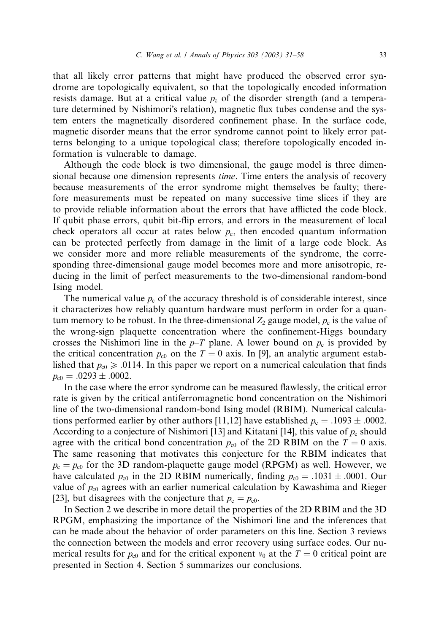that all likely error patterns that might have produced the observed error syndrome are topologically equivalent, so that the topologically encoded information resists damage. But at a critical value  $p_c$  of the disorder strength (and a temperature determined by Nishimoris relation), magnetic flux tubes condense and the system enters the magnetically disordered confinement phase. In the surface code, magnetic disorder means that the error syndrome cannot point to likely error patterns belonging to a unique topological class; therefore topologically encoded information is vulnerable to damage.

Although the code block is two dimensional, the gauge model is three dimensional because one dimension represents time. Time enters the analysis of recovery because measurements of the error syndrome might themselves be faulty; therefore measurements must be repeated on many successive time slices if they are to provide reliable information about the errors that have afflicted the code block. If qubit phase errors, qubit bit-flip errors, and errors in the measurement of local check operators all occur at rates below  $p_c$ , then encoded quantum information can be protected perfectly from damage in the limit of a large code block. As we consider more and more reliable measurements of the syndrome, the corresponding three-dimensional gauge model becomes more and more anisotropic, reducing in the limit of perfect measurements to the two-dimensional random-bond Ising model.

The numerical value  $p_c$  of the accuracy threshold is of considerable interest, since it characterizes how reliably quantum hardware must perform in order for a quantum memory to be robust. In the three-dimensional  $Z_2$  gauge model,  $p_c$  is the value of the wrong-sign plaquette concentration where the confinement-Higgs boundary crosses the Nishimori line in the  $p$ –T plane. A lower bound on  $p_c$  is provided by the critical concentration  $p_{c0}$  on the  $T = 0$  axis. In [9], an analytic argument established that  $p_{c0} \ge 0.0114$ . In this paper we report on a numerical calculation that finds  $p_{c0} = .0293 \pm .0002.$ 

In the case where the error syndrome can be measured flawlessly, the critical error rate is given by the critical antiferromagnetic bond concentration on the Nishimori line of the two-dimensional random-bond Ising model (RBIM). Numerical calculations performed earlier by other authors [11,12] have established  $p_c = .1093 \pm .0002$ . According to a conjecture of Nishimori [13] and Kitatani [14], this value of  $p_c$  should agree with the critical bond concentration  $p_{\rm c0}$  of the 2D RBIM on the  $T = 0$  axis. The same reasoning that motivates this conjecture for the RBIM indicates that  $p_c = p_{c0}$  for the 3D random-plaquette gauge model (RPGM) as well. However, we have calculated  $p_{c0}$  in the 2D RBIM numerically, finding  $p_{c0} = .1031 \pm .0001$ . Our value of  $p_{c0}$  agrees with an earlier numerical calculation by Kawashima and Rieger [23], but disagrees with the conjecture that  $p_c = p_{c0}$ .

In Section 2 we describe in more detail the properties of the 2D RBIM and the 3D RPGM, emphasizing the importance of the Nishimori line and the inferences that can be made about the behavior of order parameters on this line. Section 3 reviews the connection between the models and error recovery using surface codes. Our numerical results for  $p_{c0}$  and for the critical exponent  $v_0$  at the  $T = 0$  critical point are presented in Section 4. Section 5 summarizes our conclusions.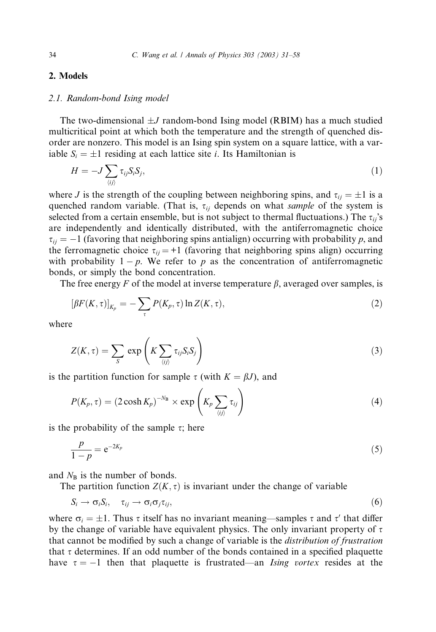# 2. Models

# 2.1. Random-bond Ising model

The two-dimensional  $\pm J$  random-bond Ising model (RBIM) has a much studied multicritical point at which both the temperature and the strength of quenched disorder are nonzero. This model is an Ising spin system on a square lattice, with a variable  $S_i = \pm 1$  residing at each lattice site *i*. Its Hamiltonian is

$$
H = -J \sum_{\langle ij \rangle} \tau_{ij} S_i S_j,\tag{1}
$$

where *J* is the strength of the coupling between neighboring spins, and  $\tau_{ij} = \pm 1$  is a quenched random variable. (That is,  $\tau_{ij}$  depends on what *sample* of the system is selected from a certain ensemble, but is not subject to thermal fluctuations.) The  $\tau_{ij}$ 's are independently and identically distributed, with the antiferromagnetic choice  $\tau_{ij} = -1$  (favoring that neighboring spins antialign) occurring with probability p, and the ferromagnetic choice  $\tau_{ij} = +1$  (favoring that neighboring spins align) occurring with probability  $1 - p$ . We refer to p as the concentration of antiferromagnetic bonds, or simply the bond concentration.

The free energy F of the model at inverse temperature  $\beta$ , averaged over samples, is

$$
[\beta F(K,\tau)]_{K_p} = -\sum_{\tau} P(K_p,\tau) \ln Z(K,\tau), \qquad (2)
$$

where

$$
Z(K,\tau) = \sum_{S} \exp\left(K \sum_{\langle ij \rangle} \tau_{ij} S_i S_j\right)
$$
 (3)

is the partition function for sample  $\tau$  (with  $K = \beta J$ ), and

$$
P(K_p, \tau) = (2 \cosh K_p)^{-N_B} \times \exp\left(K_p \sum_{\langle ij \rangle} \tau_{ij}\right)
$$
 (4)

is the probability of the sample  $\tau$ ; here

$$
\frac{p}{1-p} = e^{-2K_p} \tag{5}
$$

and  $N_B$  is the number of bonds.

The partition function  $Z(K, \tau)$  is invariant under the change of variable

$$
S_i \to \sigma_i S_i, \quad \tau_{ij} \to \sigma_i \sigma_j \tau_{ij}, \tag{6}
$$

where  $\sigma_i = \pm 1$ . Thus  $\tau$  itself has no invariant meaning—samples  $\tau$  and  $\tau'$  that differ by the change of variable have equivalent physics. The only invariant property of  $\tau$ that cannot be modified by such a change of variable is the distribution of frustration that  $\tau$  determines. If an odd number of the bonds contained in a specified plaquette have  $\tau = -1$  then that plaquette is frustrated—an *Ising vortex* resides at the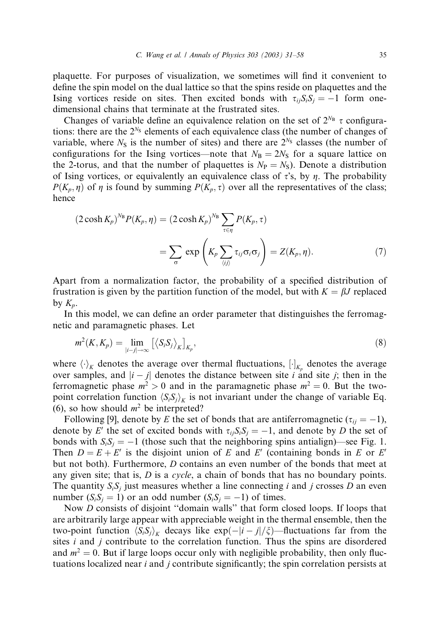plaquette. For purposes of visualization, we sometimes will find it convenient to define the spin model on the dual lattice so that the spins reside on plaquettes and the Ising vortices reside on sites. Then excited bonds with  $\tau_{ij}S_iS_j = -1$  form onedimensional chains that terminate at the frustrated sites.

Changes of variable define an equivalence relation on the set of  $2^{N_B} \tau$  configurations: there are the  $2^{N_S}$  elements of each equivalence class (the number of changes of variable, where  $N<sub>S</sub>$  is the number of sites) and there are  $2<sup>N<sub>S</sub></sup>$  classes (the number of configurations for the Ising vortices—note that  $N_B = 2N_S$  for a square lattice on the 2-torus, and that the number of plaquettes is  $N_P = N_S$ ). Denote a distribution of Ising vortices, or equivalently an equivalence class of  $\tau$ 's, by  $\eta$ . The probability  $P(K_p, \eta)$  of  $\eta$  is found by summing  $P(K_p, \tau)$  over all the representatives of the class; hence

$$
(2\cosh K_p)^{N_B} P(K_p, \eta) = (2\cosh K_p)^{N_B} \sum_{\tau \in \eta} P(K_p, \tau)
$$

$$
= \sum_{\sigma} \exp\left(K_p \sum_{\langle ij \rangle} \tau_{ij} \sigma_i \sigma_j\right) = Z(K_p, \eta). \tag{7}
$$

Apart from a normalization factor, the probability of a specified distribution of frustration is given by the partition function of the model, but with  $K = \beta J$  replaced by  $K_p$ .

In this model, we can define an order parameter that distinguishes the ferromagnetic and paramagnetic phases. Let

$$
m^{2}(K, K_{p}) = \lim_{|i-j|\to\infty} \left[ \left\langle S_{i} S_{j} \right\rangle_{K} \right]_{K_{p}}, \tag{8}
$$

where  $\langle \cdot \rangle_K$  denotes the average over thermal fluctuations,  $[\cdot]_{K_p}$  denotes the average over samples, and  $|i-j|$  denotes the distance between site i and site j; then in the ferromagnetic phase  $m^2 > 0$  and in the paramagnetic phase  $m^2 = 0$ . But the twopoint correlation function  $\langle S_i S_j \rangle_K$  is not invariant under the change of variable Eq. (6), so how should  $m^2$  be interpreted?

Following [9], denote by E the set of bonds that are antiferromagnetic  $(\tau_{ij} = -1)$ , denote by E' the set of excited bonds with  $\tau_{ij}S_iS_j = -1$ , and denote by D the set of bonds with  $S_iS_j = -1$  (those such that the neighboring spins antialign)—see Fig. 1. Then  $D = E + E'$  is the disjoint union of E and E' (containing bonds in E or E' but not both). Furthermore, D contains an even number of the bonds that meet at any given site; that is,  $D$  is a cycle, a chain of bonds that has no boundary points. The quantity  $S_iS_j$  just measures whether a line connecting i and j crosses D an even number  $(S_iS_j = 1)$  or an odd number  $(S_iS_j = -1)$  of times.

Now D consists of disjoint ''domain walls'' that form closed loops. If loops that are arbitrarily large appear with appreciable weight in the thermal ensemble, then the two-point function  $\langle S_iS_j\rangle_k$  decays like  $\exp(-|i-j|/\xi)$ —fluctuations far from the sites  $i$  and  $j$  contribute to the correlation function. Thus the spins are disordered and  $m^2 = 0$ . But if large loops occur only with negligible probability, then only fluctuations localized near  $i$  and  $j$  contribute significantly; the spin correlation persists at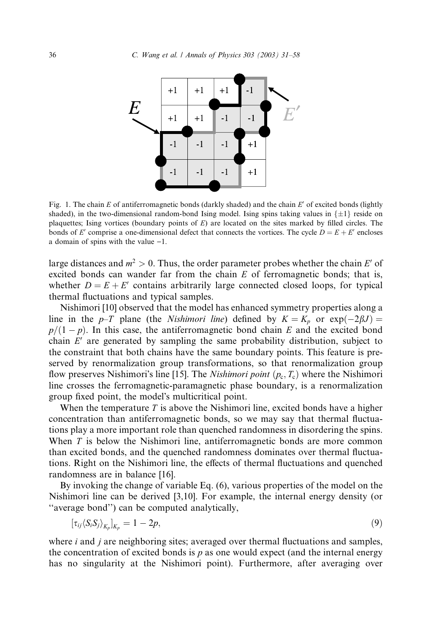

Fig. 1. The chain E of antiferromagnetic bonds (darkly shaded) and the chain  $E'$  of excited bonds (lightly shaded), in the two-dimensional random-bond Ising model. Ising spins taking values in  $\{\pm 1\}$  reside on plaquettes; Ising vortices (boundary points of  $E$ ) are located on the sites marked by filled circles. The bonds of E' comprise a one-dimensional defect that connects the vortices. The cycle  $D = E + E'$  encloses a domain of spins with the value  $-1$ .

large distances and  $m^2 > 0$ . Thus, the order parameter probes whether the chain E' of excited bonds can wander far from the chain  $E$  of ferromagnetic bonds; that is, whether  $D = E + E'$  contains arbitrarily large connected closed loops, for typical thermal fluctuations and typical samples.

Nishimori [10] observed that the model has enhanced symmetry properties along a line in the p–T plane (the Nishimori line) defined by  $K = K_p$  or  $exp(-2\beta J) =$  $p/(1-p)$ . In this case, the antiferromagnetic bond chain E and the excited bond chain  $E'$  are generated by sampling the same probability distribution, subject to the constraint that both chains have the same boundary points. This feature is preserved by renormalization group transformations, so that renormalization group flow preserves Nishimori's line [15]. The *Nishimori point*  $(p_c, T_c)$  where the Nishimori line crosses the ferromagnetic-paramagnetic phase boundary, is a renormalization group fixed point, the model's multicritical point.

When the temperature  $T$  is above the Nishimori line, excited bonds have a higher concentration than antiferromagnetic bonds, so we may say that thermal fluctuations play a more important role than quenched randomness in disordering the spins. When T is below the Nishimori line, antiferromagnetic bonds are more common than excited bonds, and the quenched randomness dominates over thermal fluctuations. Right on the Nishimori line, the effects of thermal fluctuations and quenched randomness are in balance [16].

By invoking the change of variable Eq. (6), various properties of the model on the Nishimori line can be derived [3,10]. For example, the internal energy density (or ''average bond'') can be computed analytically,

$$
[\tau_{ij}\langle S_i S_j \rangle_{K_p}]_{K_p} = 1 - 2p,\tag{9}
$$

where  $i$  and  $j$  are neighboring sites; averaged over thermal fluctuations and samples, the concentration of excited bonds is  $p$  as one would expect (and the internal energy has no singularity at the Nishimori point). Furthermore, after averaging over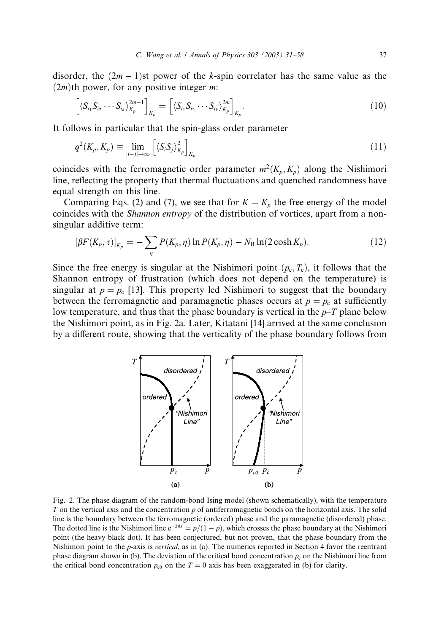disorder, the  $(2m - 1)$ st power of the k-spin correlator has the same value as the  $(2m)$ th power, for any positive integer *m*:

$$
\left[\langle S_{i_1} S_{i_2} \cdots S_{i_k} \rangle_{K_p}^{2m-1}\right]_{K_p} = \left[\langle S_{i_1} S_{i_2} \cdots S_{i_k} \rangle_{K_p}^{2m}\right]_{K_p}.
$$
\n(10)

It follows in particular that the spin-glass order parameter

$$
q^{2}(K_{p}, K_{p}) \equiv \lim_{|i-j|\to\infty} \left[ \langle S_{i} S_{j} \rangle_{K_{p}}^{2} \right]_{K_{p}}
$$
\n(11)

coincides with the ferromagnetic order parameter  $m^2(K_p, K_p)$  along the Nishimori line, reflecting the property that thermal fluctuations and quenched randomness have equal strength on this line.

Comparing Eqs. (2) and (7), we see that for  $K = K_p$  the free energy of the model coincides with the Shannon entropy of the distribution of vortices, apart from a nonsingular additive term:

$$
[\beta F(K_p, \tau)]_{K_p} = -\sum_{\eta} P(K_p, \eta) \ln P(K_p, \eta) - N_B \ln(2 \cosh K_p). \tag{12}
$$

Since the free energy is singular at the Nishimori point  $(p_c, T_c)$ , it follows that the Shannon entropy of frustration (which does not depend on the temperature) is singular at  $p = p<sub>c</sub>$  [13]. This property led Nishimori to suggest that the boundary between the ferromagnetic and paramagnetic phases occurs at  $p = p_c$  at sufficiently low temperature, and thus that the phase boundary is vertical in the  $p-T$  plane below the Nishimori point, as in Fig. 2a. Later, Kitatani [14] arrived at the same conclusion by a different route, showing that the verticality of the phase boundary follows from



Fig. 2. The phase diagram of the random-bond Ising model (shown schematically), with the temperature  $T$  on the vertical axis and the concentration  $p$  of antiferromagnetic bonds on the horizontal axis. The solid line is the boundary between the ferromagnetic (ordered) phase and the paramagnetic (disordered) phase. The dotted line is the Nishimori line  $e^{-2\beta J} = p/(1-p)$ , which crosses the phase boundary at the Nishimori point (the heavy black dot). It has been conjectured, but not proven, that the phase boundary from the Nishimori point to the  $p$ -axis is vertical, as in (a). The numerics reported in Section 4 favor the reentrant phase diagram shown in (b). The deviation of the critical bond concentration  $p_c$  on the Nishimori line from the critical bond concentration  $p_{c0}$  on the  $T = 0$  axis has been exaggerated in (b) for clarity.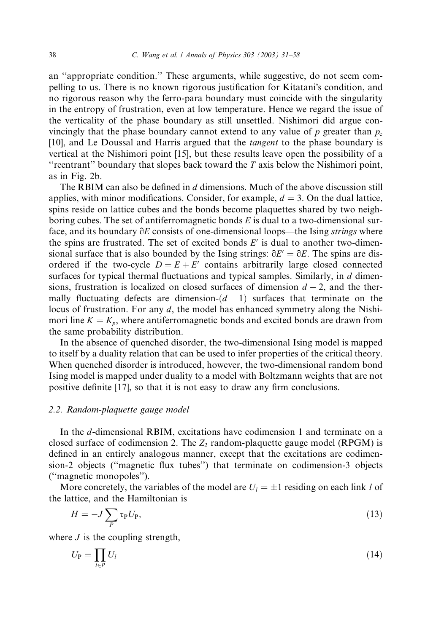an ''appropriate condition.'' These arguments, while suggestive, do not seem compelling to us. There is no known rigorous justification for Kitatanis condition, and no rigorous reason why the ferro-para boundary must coincide with the singularity in the entropy of frustration, even at low temperature. Hence we regard the issue of the verticality of the phase boundary as still unsettled. Nishimori did argue convincingly that the phase boundary cannot extend to any value of p greater than  $p_c$ [10], and Le Doussal and Harris argued that the tangent to the phase boundary is vertical at the Nishimori point [15], but these results leave open the possibility of a "reentrant" boundary that slopes back toward the  $T$  axis below the Nishimori point, as in Fig. 2b.

The RBIM can also be defined in  $d$  dimensions. Much of the above discussion still applies, with minor modifications. Consider, for example,  $d = 3$ . On the dual lattice, spins reside on lattice cubes and the bonds become plaquettes shared by two neighboring cubes. The set of antiferromagnetic bonds  $E$  is dual to a two-dimensional surface, and its boundary  $\partial E$  consists of one-dimensional loops—the Ising *strings* where the spins are frustrated. The set of excited bonds  $E'$  is dual to another two-dimensional surface that is also bounded by the Ising strings:  $\partial E' = \partial E$ . The spins are disordered if the two-cycle  $D = E + E'$  contains arbitrarily large closed connected surfaces for typical thermal fluctuations and typical samples. Similarly, in d dimensions, frustration is localized on closed surfaces of dimension  $d - 2$ , and the thermally fluctuating defects are dimension- $(d-1)$  surfaces that terminate on the locus of frustration. For any  $d$ , the model has enhanced symmetry along the Nishimori line  $K = K_p$ , where antiferromagnetic bonds and excited bonds are drawn from the same probability distribution.

In the absence of quenched disorder, the two-dimensional Ising model is mapped to itself by a duality relation that can be used to infer properties of the critical theory. When quenched disorder is introduced, however, the two-dimensional random bond Ising model is mapped under duality to a model with Boltzmann weights that are not positive definite [17], so that it is not easy to draw any firm conclusions.

# 2.2. Random-plaquette gauge model

In the d-dimensional RBIM, excitations have codimension 1 and terminate on a closed surface of codimension 2. The  $Z_2$  random-plaquette gauge model (RPGM) is defined in an entirely analogous manner, except that the excitations are codimension-2 objects (''magnetic flux tubes'') that terminate on codimension-3 objects (''magnetic monopoles'').

More concretely, the variables of the model are  $U_l = \pm 1$  residing on each link l of the lattice, and the Hamiltonian is

$$
H = -J\sum_{P} \tau_{P} U_{P},\tag{13}
$$

where  $J$  is the coupling strength,

$$
U_{\rm P} = \prod_{l \in P} U_l \tag{14}
$$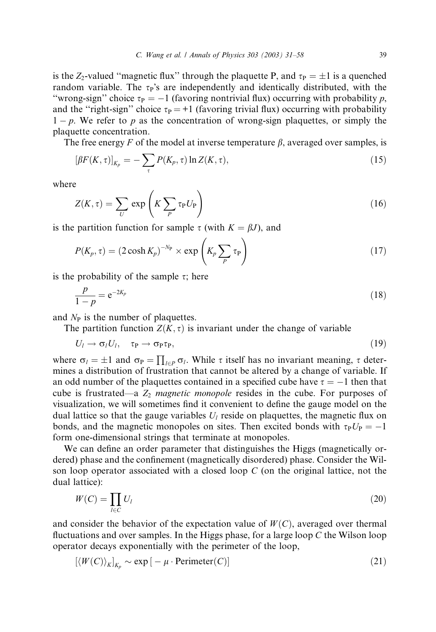is the  $Z_2$ -valued "magnetic flux" through the plaquette P, and  $\tau_P = \pm 1$  is a quenched random variable. The  $\tau_{\rm P}$ 's are independently and identically distributed, with the "wrong-sign" choice  $\tau_{\text{P}} = -1$  (favoring nontrivial flux) occurring with probability p, and the "right-sign" choice  $\tau_{\rm P} = +1$  (favoring trivial flux) occurring with probability  $1 - p$ . We refer to p as the concentration of wrong-sign plaquettes, or simply the plaquette concentration.

The free energy F of the model at inverse temperature  $\beta$ , averaged over samples, is

$$
[\beta F(K,\tau)]_{K_p} = -\sum_{\tau} P(K_p,\tau) \ln Z(K,\tau), \qquad (15)
$$

where

$$
Z(K,\tau) = \sum_{U} \exp\left(K \sum_{P} \tau_{P} U_{P}\right)
$$
 (16)

is the partition function for sample  $\tau$  (with  $K = \beta J$ ), and

$$
P(K_p, \tau) = (2\cosh K_p)^{-N_P} \times \exp\left(K_p \sum_P \tau_P\right)
$$
 (17)

is the probability of the sample  $\tau$ ; here

$$
\frac{p}{1-p} = e^{-2K_p} \tag{18}
$$

and  $N_{\rm P}$  is the number of plaquettes.

The partition function  $Z(K, \tau)$  is invariant under the change of variable

$$
U_l \to \sigma_l U_l, \quad \tau_P \to \sigma_P \tau_P,\tag{19}
$$

where  $\sigma_l = \pm 1$  and  $\sigma_P = \prod_{l \in P} \sigma_l$ . While  $\tau$  itself has no invariant meaning,  $\tau$  determines a distribution of frustration that cannot be altered by a change of variable. If an odd number of the plaquettes contained in a specified cube have  $\tau = -1$  then that cube is frustrated—a  $Z_2$  magnetic monopole resides in the cube. For purposes of visualization, we will sometimes find it convenient to define the gauge model on the dual lattice so that the gauge variables  $U_l$  reside on plaquettes, the magnetic flux on bonds, and the magnetic monopoles on sites. Then excited bonds with  $\tau_P U_P = -1$ form one-dimensional strings that terminate at monopoles.

We can define an order parameter that distinguishes the Higgs (magnetically ordered) phase and the confinement (magnetically disordered) phase. Consider the Wilson loop operator associated with a closed loop C (on the original lattice, not the dual lattice):

$$
W(C) = \prod_{l \in C} U_l \tag{20}
$$

and consider the behavior of the expectation value of  $W(C)$ , averaged over thermal fluctuations and over samples. In the Higgs phase, for a large loop C the Wilson loop operator decays exponentially with the perimeter of the loop,

$$
[\langle W(C) \rangle_K]_{K_p} \sim \exp[-\mu \cdot \text{Perimeter}(C)] \tag{21}
$$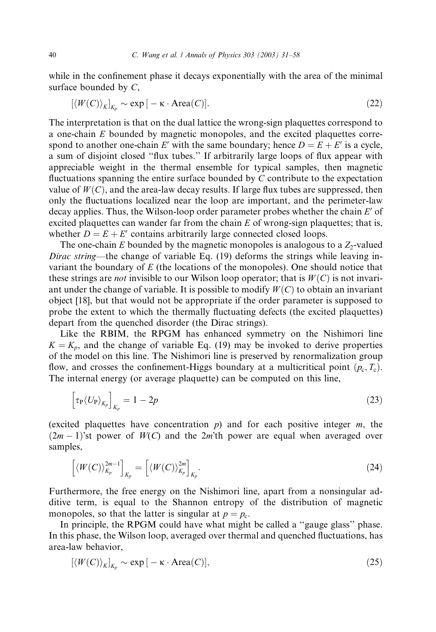while in the confinement phase it decays exponentially with the area of the minimal surface bounded by C,

$$
[\langle W(C) \rangle_K]_{K_p} \sim \exp[-\kappa \cdot \text{Area}(C)]. \tag{22}
$$

The interpretation is that on the dual lattice the wrong-sign plaquettes correspond to a one-chain E bounded by magnetic monopoles, and the excited plaquettes correspond to another one-chain E' with the same boundary; hence  $D = E + E'$  is a cycle, a sum of disjoint closed ''flux tubes.'' If arbitrarily large loops of flux appear with appreciable weight in the thermal ensemble for typical samples, then magnetic fluctuations spanning the entire surface bounded by C contribute to the expectation value of  $W(C)$ , and the area-law decay results. If large flux tubes are suppressed, then only the fluctuations localized near the loop are important, and the perimeter-law decay applies. Thus, the Wilson-loop order parameter probes whether the chain  $E'$  of excited plaquettes can wander far from the chain  $E$  of wrong-sign plaquettes; that is, whether  $D = E + E'$  contains arbitrarily large connected closed loops.

The one-chain E bounded by the magnetic monopoles is analogous to a  $Z_2$ -valued Dirac string—the change of variable Eq. (19) deforms the strings while leaving invariant the boundary of  $E$  (the locations of the monopoles). One should notice that these strings are *not* invisible to our Wilson loop operator; that is  $W(C)$  is not invariant under the change of variable. It is possible to modify  $W(C)$  to obtain an invariant object [18], but that would not be appropriate if the order parameter is supposed to probe the extent to which the thermally fluctuating defects (the excited plaquettes) depart from the quenched disorder (the Dirac strings).

Like the RBIM, the RPGM has enhanced symmetry on the Nishimori line  $K = K_p$ , and the change of variable Eq. (19) may be invoked to derive properties of the model on this line. The Nishimori line is preserved by renormalization group flow, and crosses the confinement-Higgs boundary at a multicritical point  $(p_c, T_c)$ . The internal energy (or average plaquette) can be computed on this line,

$$
\left[\tau_{\rm P} \langle U_{\rm P} \rangle_{K_p}\right]_{K_p} = 1 - 2p \tag{23}
$$

(excited plaquettes have concentration  $p$ ) and for each positive integer  $m$ , the  $(2m - 1)$ 'st power of  $W(C)$  and the 2m'th power are equal when averaged over samples,

$$
\left[ \langle W(C) \rangle_{K_p}^{2m-1} \right]_{K_p} = \left[ \langle W(C) \rangle_{K_p}^{2m} \right]_{K_p}.
$$
\n(24)

Furthermore, the free energy on the Nishimori line, apart from a nonsingular additive term, is equal to the Shannon entropy of the distribution of magnetic monopoles, so that the latter is singular at  $p = p_c$ .

In principle, the RPGM could have what might be called a ''gauge glass'' phase. In this phase, the Wilson loop, averaged over thermal and quenched fluctuations, has area-law behavior,

$$
[\langle W(C) \rangle_K]_{K_p} \sim \exp[-\kappa \cdot \text{Area}(C)],\tag{25}
$$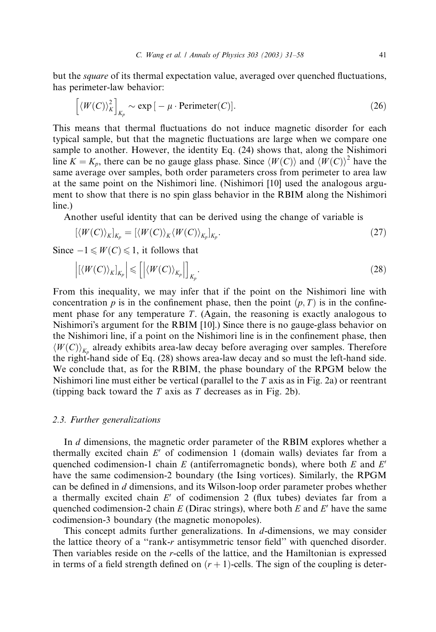but the square of its thermal expectation value, averaged over quenched fluctuations, has perimeter-law behavior:

$$
\left[ \langle W(C) \rangle_K^2 \right]_{K_p} \sim \exp \left[ -\mu \cdot \text{Perimeter}(C) \right]. \tag{26}
$$

This means that thermal fluctuations do not induce magnetic disorder for each typical sample, but that the magnetic fluctuations are large when we compare one sample to another. However, the identity Eq. (24) shows that, along the Nishimori line  $K = K_p$ , there can be no gauge glass phase. Since  $\langle W(C) \rangle$  and  $\langle W(C) \rangle^2$  have the same average over samples, both order parameters cross from perimeter to area law at the same point on the Nishimori line. (Nishimori [10] used the analogous argument to show that there is no spin glass behavior in the RBIM along the Nishimori line.)

Another useful identity that can be derived using the change of variable is

$$
[\langle W(C) \rangle_K]_{K_p} = [\langle W(C) \rangle_K \langle W(C) \rangle_{K_p}]_{K_p}.
$$
\n(27)

Since  $-1 \leqslant W(C) \leqslant 1$ , it follows that

$$
\left| \left[ \langle W(C) \rangle_K \right]_{K_p} \right| \leqslant \left[ \left| \langle W(C) \rangle_{K_p} \right| \right]_{K_p}.
$$
\n(28)

From this inequality, we may infer that if the point on the Nishimori line with concentration p is in the confinement phase, then the point  $(p, T)$  is in the confinement phase for any temperature  $T$ . (Again, the reasoning is exactly analogous to Nishimori's argument for the RBIM [10].) Since there is no gauge-glass behavior on the Nishimori line, if a point on the Nishimori line is in the confinement phase, then  $\langle W(C) \rangle_{K_n}$  already exhibits area-law decay before averaging over samples. Therefore the right-hand side of Eq. (28) shows area-law decay and so must the left-hand side. We conclude that, as for the RBIM, the phase boundary of the RPGM below the Nishimori line must either be vertical (parallel to the  $T$  axis as in Fig. 2a) or reentrant (tipping back toward the  $T$  axis as  $T$  decreases as in Fig. 2b).

# 2.3. Further generalizations

In d dimensions, the magnetic order parameter of the RBIM explores whether a thermally excited chain  $E'$  of codimension 1 (domain walls) deviates far from a quenched codimension-1 chain E (antiferromagnetic bonds), where both E and  $E'$ have the same codimension-2 boundary (the Ising vortices). Similarly, the RPGM can be defined in d dimensions, and its Wilson-loop order parameter probes whether a thermally excited chain  $E'$  of codimension 2 (flux tubes) deviates far from a quenched codimension-2 chain E (Dirac strings), where both E and E' have the same codimension-3 boundary (the magnetic monopoles).

This concept admits further generalizations. In d-dimensions, we may consider the lattice theory of a ''rank-r antisymmetric tensor field'' with quenched disorder. Then variables reside on the r-cells of the lattice, and the Hamiltonian is expressed in terms of a field strength defined on  $(r + 1)$ -cells. The sign of the coupling is deter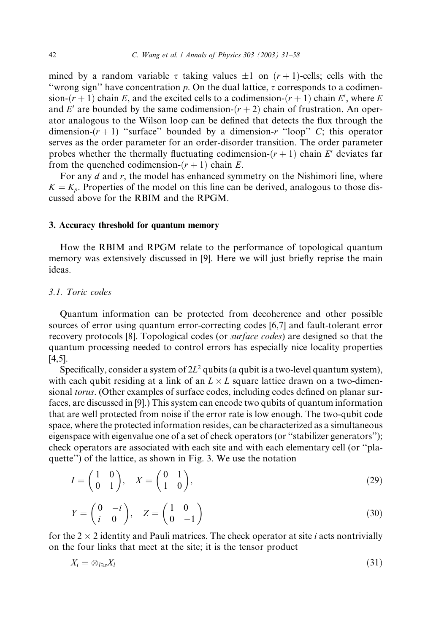mined by a random variable  $\tau$  taking values  $\pm 1$  on  $(r + 1)$ -cells; cells with the "wrong sign" have concentration p. On the dual lattice,  $\tau$  corresponds to a codimension- $(r + 1)$  chain E, and the excited cells to a codimension- $(r + 1)$  chain E', where E and E' are bounded by the same codimension- $(r + 2)$  chain of frustration. An operator analogous to the Wilson loop can be defined that detects the flux through the dimension- $(r + 1)$  "surface" bounded by a dimension-r "loop" C; this operator serves as the order parameter for an order-disorder transition. The order parameter probes whether the thermally fluctuating codimension- $(r + 1)$  chain E' deviates far from the quenched codimension- $(r + 1)$  chain E.

For any  $d$  and  $r$ , the model has enhanced symmetry on the Nishimori line, where  $K = K_p$ . Properties of the model on this line can be derived, analogous to those discussed above for the RBIM and the RPGM.

# 3. Accuracy threshold for quantum memory

How the RBIM and RPGM relate to the performance of topological quantum memory was extensively discussed in [9]. Here we will just briefly reprise the main ideas.

# 3.1. Toric codes

Quantum information can be protected from decoherence and other possible sources of error using quantum error-correcting codes [6,7] and fault-tolerant error recovery protocols [8]. Topological codes (or surface codes) are designed so that the quantum processing needed to control errors has especially nice locality properties [4,5].

Specifically, consider a system of  $2L^2$  qubits (a qubit is a two-level quantum system), with each qubit residing at a link of an  $L \times L$  square lattice drawn on a two-dimensional *torus*. (Other examples of surface codes, including codes defined on planar surfaces, are discussed in [9].) This system can encode two qubits of quantum information that are well protected from noise if the error rate is low enough. The two-qubit code space, where the protected information resides, can be characterized as a simultaneous eigenspace with eigenvalue one of a set of check operators (or ''stabilizer generators''); check operators are associated with each site and with each elementary cell (or ''plaquette'') of the lattice, as shown in Fig. 3. We use the notation

$$
I = \begin{pmatrix} 1 & 0 \\ 0 & 1 \end{pmatrix}, \quad X = \begin{pmatrix} 0 & 1 \\ 1 & 0 \end{pmatrix}, \tag{29}
$$

$$
Y = \begin{pmatrix} 0 & -i \\ i & 0 \end{pmatrix}, \quad Z = \begin{pmatrix} 1 & 0 \\ 0 & -1 \end{pmatrix}
$$
 (30)

for the  $2 \times 2$  identity and Pauli matrices. The check operator at site *i* acts nontrivially on the four links that meet at the site; it is the tensor product

$$
X_i = \otimes_{l \ni s} X_l \tag{31}
$$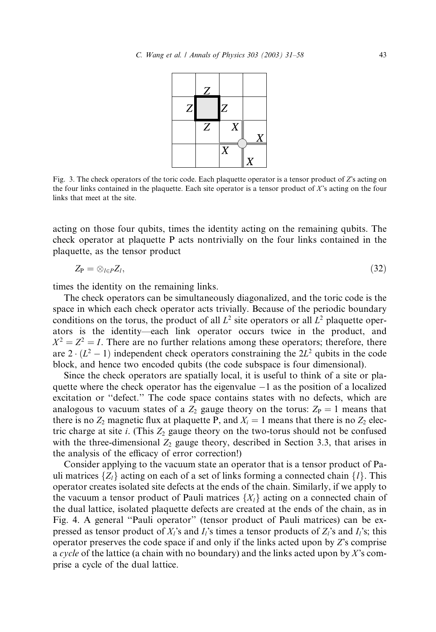

Fig. 3. The check operators of the toric code. Each plaquette operator is a tensor product of  $Z$ 's acting on the four links contained in the plaquette. Each site operator is a tensor product of  $X$ 's acting on the four links that meet at the site.

acting on those four qubits, times the identity acting on the remaining qubits. The check operator at plaquette P acts nontrivially on the four links contained in the plaquette, as the tensor product

$$
Z_{\rm P} = \otimes_{l \in P} Z_l, \tag{32}
$$

times the identity on the remaining links.

The check operators can be simultaneously diagonalized, and the toric code is the space in which each check operator acts trivially. Because of the periodic boundary conditions on the torus, the product of all  $L^2$  site operators or all  $L^2$  plaquette operators is the identity—each link operator occurs twice in the product, and  $X^2 = Z^2 = I$ . There are no further relations among these operators; therefore, there are  $2 \cdot (L^2 - 1)$  independent check operators constraining the  $2L^2$  qubits in the code block, and hence two encoded qubits (the code subspace is four dimensional).

Since the check operators are spatially local, it is useful to think of a site or plaquette where the check operator has the eigenvalue  $-1$  as the position of a localized excitation or ''defect.'' The code space contains states with no defects, which are analogous to vacuum states of a  $Z_2$  gauge theory on the torus:  $Z_P = 1$  means that there is no  $Z_2$  magnetic flux at plaquette P, and  $X_i = 1$  means that there is no  $Z_2$  electric charge at site i. (This  $Z_2$  gauge theory on the two-torus should not be confused with the three-dimensional  $Z_2$  gauge theory, described in Section 3.3, that arises in the analysis of the efficacy of error correction!)

Consider applying to the vacuum state an operator that is a tensor product of Pauli matrices  $\{Z_l\}$  acting on each of a set of links forming a connected chain  $\{l\}$ . This operator creates isolated site defects at the ends of the chain. Similarly, if we apply to the vacuum a tensor product of Pauli matrices  $\{X_i\}$  acting on a connected chain of the dual lattice, isolated plaquette defects are created at the ends of the chain, as in Fig. 4. A general ''Pauli operator'' (tensor product of Pauli matrices) can be expressed as tensor product of  $X_i$ 's and  $I_i$ 's times a tensor products of  $Z_i$ 's and  $I_i$ 's; this operator preserves the code space if and only if the links acted upon by  $Z$ 's comprise a cycle of the lattice (a chain with no boundary) and the links acted upon by  $X$ 's comprise a cycle of the dual lattice.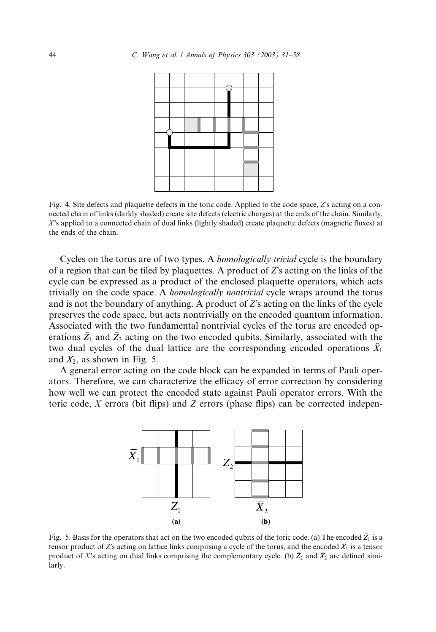

Fig. 4. Site defects and plaquette defects in the toric code. Applied to the code space, Z's acting on a connected chain of links (darkly shaded) create site defects (electric charges) at the ends of the chain. Similarly,  $X$ 's applied to a connected chain of dual links (lightly shaded) create plaquette defects (magnetic fluxes) at the ends of the chain.

Cycles on the torus are of two types. A homologically trivial cycle is the boundary of a region that can be tiled by plaquettes. A product of  $Z$ 's acting on the links of the cycle can be expressed as a product of the enclosed plaquette operators, which acts trivially on the code space. A homologically nontrivial cycle wraps around the torus and is not the boundary of anything. A product of  $Z$ 's acting on the links of the cycle preserves the code space, but acts nontrivially on the encoded quantum information. Associated with the two fundamental nontrivial cycles of the torus are encoded operations  $\bar{Z}_1$  and  $\bar{Z}_2$  acting on the two encoded qubits. Similarly, associated with the two dual cycles of the dual lattice are the corresponding encoded operations  $\bar{X}_1$ and  $\bar{X}_2$ , as shown in Fig. 5.

A general error acting on the code block can be expanded in terms of Pauli operators. Therefore, we can characterize the efficacy of error correction by considering how well we can protect the encoded state against Pauli operator errors. With the toric code,  $X$  errors (bit flips) and  $Z$  errors (phase flips) can be corrected indepen-



Fig. 5. Basis for the operators that act on the two encoded qubits of the toric code. (a) The encoded  $\bar{Z}_1$  is a tensor product of Z's acting on lattice links comprising a cycle of the torus, and the encoded  $\bar{X}_1$  is a tensor product of X's acting on dual links comprising the complementary cycle. (b)  $\bar{Z}_2$  and  $\bar{X}_2$  are defined similarly.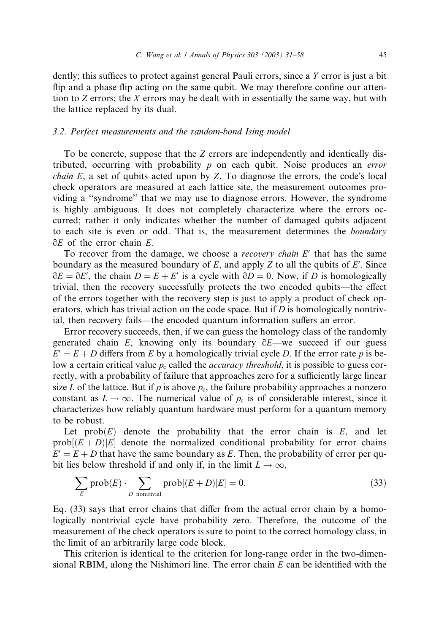dently; this suffices to protect against general Pauli errors, since a Y error is just a bit flip and a phase flip acting on the same qubit. We may therefore confine our attention to  $Z$  errors; the  $X$  errors may be dealt with in essentially the same way, but with the lattice replaced by its dual.

# 3.2. Perfect measurements and the random-bond Ising model

To be concrete, suppose that the Z errors are independently and identically distributed, occurring with probability  $p$  on each qubit. Noise produces an *error chain*  $E$ , a set of qubits acted upon by  $Z$ . To diagnose the errors, the code's local check operators are measured at each lattice site, the measurement outcomes providing a ''syndrome'' that we may use to diagnose errors. However, the syndrome is highly ambiguous. It does not completely characterize where the errors occurred; rather it only indicates whether the number of damaged qubits adjacent to each site is even or odd. That is, the measurement determines the boundary  $\partial E$  of the error chain E.

To recover from the damage, we choose a *recovery chain*  $E'$  that has the same boundary as the measured boundary of  $E$ , and apply  $Z$  to all the qubits of  $E'$ . Since  $\partial E = \partial E'$ , the chain  $D = E + E'$  is a cycle with  $\partial D = 0$ . Now, if D is homologically trivial, then the recovery successfully protects the two encoded qubits—the effect of the errors together with the recovery step is just to apply a product of check operators, which has trivial action on the code space. But if  $D$  is homologically nontrivial, then recovery fails—the encoded quantum information suffers an error.

Error recovery succeeds, then, if we can guess the homology class of the randomly generated chain E, knowing only its boundary  $\partial E$ —we succeed if our guess  $E' = E + D$  differs from E by a homologically trivial cycle D. If the error rate p is below a certain critical value  $p_c$  called the *accuracy threshold*, it is possible to guess correctly, with a probability of failure that approaches zero for a sufficiently large linear size L of the lattice. But if  $p$  is above  $p_c$ , the failure probability approaches a nonzero constant as  $L \to \infty$ . The numerical value of  $p_c$  is of considerable interest, since it characterizes how reliably quantum hardware must perform for a quantum memory to be robust.

Let prob $(E)$  denote the probability that the error chain is E, and let prob $[(E+D)|E]$  denote the normalized conditional probability for error chains  $E' = E + D$  that have the same boundary as E. Then, the probability of error per qubit lies below threshold if and only if, in the limit  $L \to \infty$ ,

$$
\sum_{E} \text{prob}(E) \cdot \sum_{D \text{ nontrivial}} \text{prob}[(E+D)|E] = 0. \tag{33}
$$

Eq. (33) says that error chains that differ from the actual error chain by a homologically nontrivial cycle have probability zero. Therefore, the outcome of the measurement of the check operators is sure to point to the correct homology class, in the limit of an arbitrarily large code block.

This criterion is identical to the criterion for long-range order in the two-dimensional RBIM, along the Nishimori line. The error chain  $E$  can be identified with the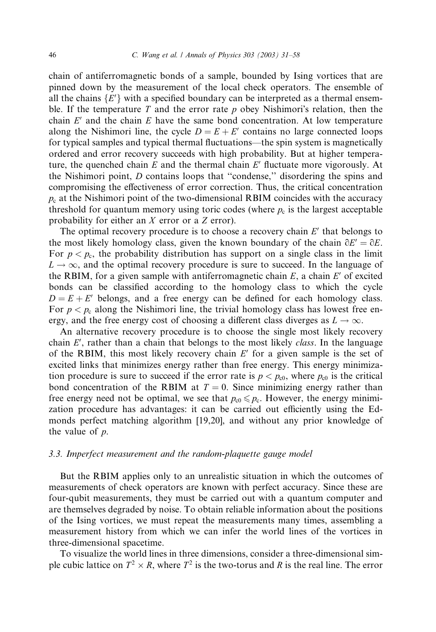chain of antiferromagnetic bonds of a sample, bounded by Ising vortices that are pinned down by the measurement of the local check operators. The ensemble of all the chains  ${E' }$  with a specified boundary can be interpreted as a thermal ensemble. If the temperature T and the error rate  $p$  obey Nishimori's relation, then the chain  $E'$  and the chain  $E$  have the same bond concentration. At low temperature along the Nishimori line, the cycle  $D = E + E'$  contains no large connected loops for typical samples and typical thermal fluctuations—the spin system is magnetically ordered and error recovery succeeds with high probability. But at higher temperature, the quenched chain E and the thermal chain  $E'$  fluctuate more vigorously. At the Nishimori point, D contains loops that ''condense,'' disordering the spins and compromising the effectiveness of error correction. Thus, the critical concentration  $p_c$  at the Nishimori point of the two-dimensional RBIM coincides with the accuracy threshold for quantum memory using toric codes (where  $p_c$  is the largest acceptable probability for either an X error or a Z error).

The optimal recovery procedure is to choose a recovery chain  $E'$  that belongs to the most likely homology class, given the known boundary of the chain  $\partial E' = \partial E$ . For  $p < p<sub>c</sub>$ , the probability distribution has support on a single class in the limit  $L \rightarrow \infty$ , and the optimal recovery procedure is sure to succeed. In the language of the RBIM, for a given sample with antiferromagnetic chain  $E$ , a chain  $E'$  of excited bonds can be classified according to the homology class to which the cycle  $D = E + E'$  belongs, and a free energy can be defined for each homology class. For  $p < p_c$  along the Nishimori line, the trivial homology class has lowest free energy, and the free energy cost of choosing a different class diverges as  $L \to \infty$ .

An alternative recovery procedure is to choose the single most likely recovery chain  $E'$ , rather than a chain that belongs to the most likely *class*. In the language of the RBIM, this most likely recovery chain  $E'$  for a given sample is the set of excited links that minimizes energy rather than free energy. This energy minimization procedure is sure to succeed if the error rate is  $p < p_{c0}$ , where  $p_{c0}$  is the critical bond concentration of the RBIM at  $T = 0$ . Since minimizing energy rather than free energy need not be optimal, we see that  $p_{c0} \leq p_c$ . However, the energy minimization procedure has advantages: it can be carried out efficiently using the Edmonds perfect matching algorithm [19,20], and without any prior knowledge of the value of p.

#### 3.3. Imperfect measurement and the random-plaquette gauge model

But the RBIM applies only to an unrealistic situation in which the outcomes of measurements of check operators are known with perfect accuracy. Since these are four-qubit measurements, they must be carried out with a quantum computer and are themselves degraded by noise. To obtain reliable information about the positions of the Ising vortices, we must repeat the measurements many times, assembling a measurement history from which we can infer the world lines of the vortices in three-dimensional spacetime.

To visualize the world lines in three dimensions, consider a three-dimensional simple cubic lattice on  $T^2 \times R$ , where  $T^2$  is the two-torus and R is the real line. The error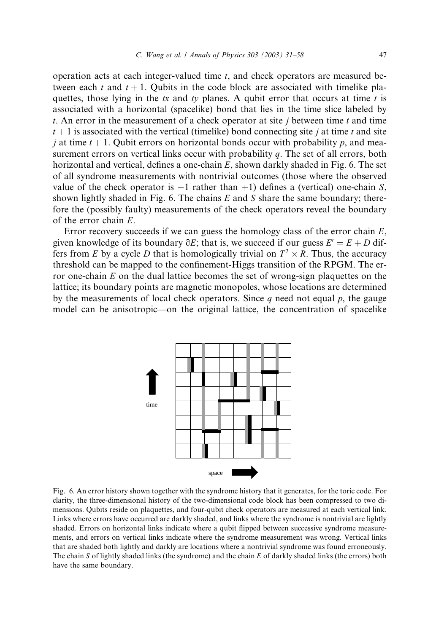operation acts at each integer-valued time  $t$ , and check operators are measured between each t and  $t + 1$ . Oubits in the code block are associated with timelike plaquettes, those lying in the  $tx$  and  $ty$  planes. A qubit error that occurs at time  $t$  is associated with a horizontal (spacelike) bond that lies in the time slice labeled by t. An error in the measurement of a check operator at site  $j$  between time  $t$  and time  $t + 1$  is associated with the vertical (timelike) bond connecting site j at time t and site *j* at time  $t + 1$ . Qubit errors on horizontal bonds occur with probability p, and measurement errors on vertical links occur with probability  $q$ . The set of all errors, both horizontal and vertical, defines a one-chain  $E$ , shown darkly shaded in Fig. 6. The set of all syndrome measurements with nontrivial outcomes (those where the observed value of the check operator is  $-1$  rather than  $+1$ ) defines a (vertical) one-chain S, shown lightly shaded in Fig. 6. The chains  $E$  and  $S$  share the same boundary; therefore the (possibly faulty) measurements of the check operators reveal the boundary of the error chain E.

Error recovery succeeds if we can guess the homology class of the error chain  $E$ , given knowledge of its boundary  $\partial E$ ; that is, we succeed if our guess  $E' = E + D$  differs from E by a cycle D that is homologically trivial on  $T^2 \times R$ . Thus, the accuracy threshold can be mapped to the confinement-Higgs transition of the RPGM. The error one-chain  $E$  on the dual lattice becomes the set of wrong-sign plaquettes on the lattice; its boundary points are magnetic monopoles, whose locations are determined by the measurements of local check operators. Since q need not equal p, the gauge model can be anisotropic—on the original lattice, the concentration of spacelike



Fig. 6. An error history shown together with the syndrome history that it generates, for the toric code. For clarity, the three-dimensional history of the two-dimensional code block has been compressed to two dimensions. Qubits reside on plaquettes, and four-qubit check operators are measured at each vertical link. Links where errors have occurred are darkly shaded, and links where the syndrome is nontrivial are lightly shaded. Errors on horizontal links indicate where a qubit flipped between successive syndrome measurements, and errors on vertical links indicate where the syndrome measurement was wrong. Vertical links that are shaded both lightly and darkly are locations where a nontrivial syndrome was found erroneously. The chain S of lightly shaded links (the syndrome) and the chain  $E$  of darkly shaded links (the errors) both have the same boundary.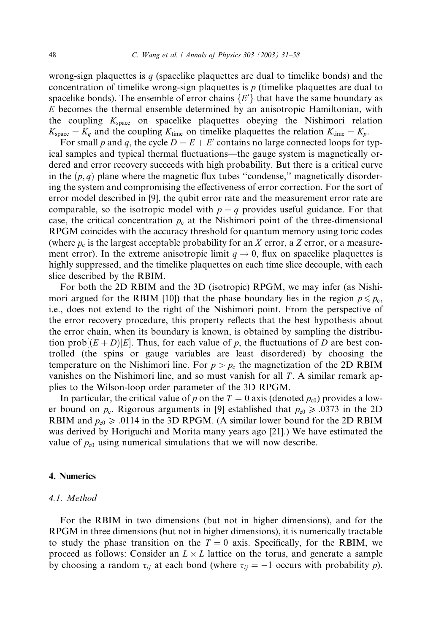wrong-sign plaquettes is  $q$  (spacelike plaquettes are dual to timelike bonds) and the concentration of timelike wrong-sign plaquettes is  $p$  (timelike plaquettes are dual to spacelike bonds). The ensemble of error chains  $\{E'\}$  that have the same boundary as E becomes the thermal ensemble determined by an anisotropic Hamiltonian, with the coupling  $K_{\text{space}}$  on spacelike plaquettes obeying the Nishimori relation  $K_{\text{space}} = K_q$  and the coupling  $K_{\text{time}}$  on timelike plaquettes the relation  $K_{\text{time}} = K_p$ .

For small p and q, the cycle  $D = E + E'$  contains no large connected loops for typical samples and typical thermal fluctuations—the gauge system is magnetically ordered and error recovery succeeds with high probability. But there is a critical curve in the  $(p, q)$  plane where the magnetic flux tubes "condense," magnetically disordering the system and compromising the effectiveness of error correction. For the sort of error model described in [9], the qubit error rate and the measurement error rate are comparable, so the isotropic model with  $p = q$  provides useful guidance. For that case, the critical concentration  $p_c$  at the Nishimori point of the three-dimensional RPGM coincides with the accuracy threshold for quantum memory using toric codes (where  $p_c$  is the largest acceptable probability for an X error, a Z error, or a measurement error). In the extreme anisotropic limit  $q \to 0$ , flux on spacelike plaquettes is highly suppressed, and the timelike plaquettes on each time slice decouple, with each slice described by the RBIM.

For both the 2D RBIM and the 3D (isotropic) RPGM, we may infer (as Nishimori argued for the RBIM [10]) that the phase boundary lies in the region  $p \leq p_c$ , i.e., does not extend to the right of the Nishimori point. From the perspective of the error recovery procedure, this property reflects that the best hypothesis about the error chain, when its boundary is known, is obtained by sampling the distribution prob $[(E+D)|E]$ . Thus, for each value of p, the fluctuations of D are best controlled (the spins or gauge variables are least disordered) by choosing the temperature on the Nishimori line. For  $p > p_c$  the magnetization of the 2D RBIM vanishes on the Nishimori line, and so must vanish for all  $T$ . A similar remark applies to the Wilson-loop order parameter of the 3D RPGM.

In particular, the critical value of p on the  $T = 0$  axis (denoted  $p_{c0}$ ) provides a lower bound on  $p_c$ . Rigorous arguments in [9] established that  $p_{c0} \ge 0.0373$  in the 2D RBIM and  $p_{c0} \ge 0.0114$  in the 3D RPGM. (A similar lower bound for the 2D RBIM was derived by Horiguchi and Morita many years ago [21].) We have estimated the value of  $p_{c0}$  using numerical simulations that we will now describe.

#### 4. Numerics

#### 4.1. Method

For the RBIM in two dimensions (but not in higher dimensions), and for the RPGM in three dimensions (but not in higher dimensions), it is numerically tractable to study the phase transition on the  $T = 0$  axis. Specifically, for the RBIM, we proceed as follows: Consider an  $L \times L$  lattice on the torus, and generate a sample by choosing a random  $\tau_{ii}$  at each bond (where  $\tau_{ii} = -1$  occurs with probability p).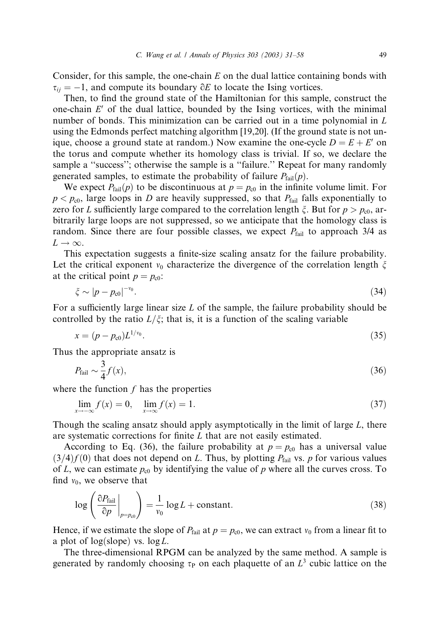Consider, for this sample, the one-chain  $E$  on the dual lattice containing bonds with  $\tau_{ii} = -1$ , and compute its boundary  $\partial E$  to locate the Ising vortices.

Then, to find the ground state of the Hamiltonian for this sample, construct the one-chain  $E'$  of the dual lattice, bounded by the Ising vortices, with the minimal number of bonds. This minimization can be carried out in a time polynomial in L using the Edmonds perfect matching algorithm [19,20]. (If the ground state is not unique, choose a ground state at random.) Now examine the one-cycle  $D = E + E'$  on the torus and compute whether its homology class is trivial. If so, we declare the sample a "success"; otherwise the sample is a "failure." Repeat for many randomly generated samples, to estimate the probability of failure  $P_{\text{fail}}(p)$ .

We expect  $P_{\text{fail}}(p)$  to be discontinuous at  $p = p_{\text{c}0}$  in the infinite volume limit. For  $p < p_{c0}$ , large loops in D are heavily suppressed, so that  $P_{fail}$  falls exponentially to zero for L sufficiently large compared to the correlation length  $\xi$ . But for  $p > p_{c0}$ , arbitrarily large loops are not suppressed, so we anticipate that the homology class is random. Since there are four possible classes, we expect  $P_{\text{fail}}$  to approach 3/4 as  $L \rightarrow \infty$ .

This expectation suggests a finite-size scaling ansatz for the failure probability. Let the critical exponent  $v_0$  characterize the divergence of the correlation length  $\xi$ at the critical point  $p = p_{c0}$ :

$$
\xi \sim |p - p_{\rm c0}|^{-\nu_0}.\tag{34}
$$

For a sufficiently large linear size  $L$  of the sample, the failure probability should be controlled by the ratio  $L/\xi$ ; that is, it is a function of the scaling variable

$$
x = (p - p_{c0})L^{1/v_0}.
$$
\n(35)

Thus the appropriate ansatz is

$$
P_{\text{fail}} \sim \frac{3}{4} f(x),\tag{36}
$$

where the function  $f$  has the properties

$$
\lim_{x \to -\infty} f(x) = 0, \quad \lim_{x \to \infty} f(x) = 1.
$$
\n(37)

Though the scaling ansatz should apply asymptotically in the limit of large  $L$ , there are systematic corrections for finite  $L$  that are not easily estimated.

According to Eq. (36), the failure probability at  $p = p_{c0}$  has a universal value  $(3/4) f(0)$  that does not depend on L. Thus, by plotting  $P_{\text{fail}}$  vs. p for various values of L, we can estimate  $p_{c0}$  by identifying the value of p where all the curves cross. To find  $v_0$ , we observe that

$$
\log\left(\frac{\partial P_{\text{fail}}}{\partial p}\bigg|_{p=p_{\text{c}0}}\right) = \frac{1}{v_0} \log L + \text{constant.}
$$
\n(38)

Hence, if we estimate the slope of  $P_{\text{fail}}$  at  $p = p_{\text{c}0}$ , we can extract  $v_0$  from a linear fit to a plot of log(slope) vs.  $log L$ .

The three-dimensional RPGM can be analyzed by the same method. A sample is generated by randomly choosing  $\tau_{\rm P}$  on each plaquette of an  $L^3$  cubic lattice on the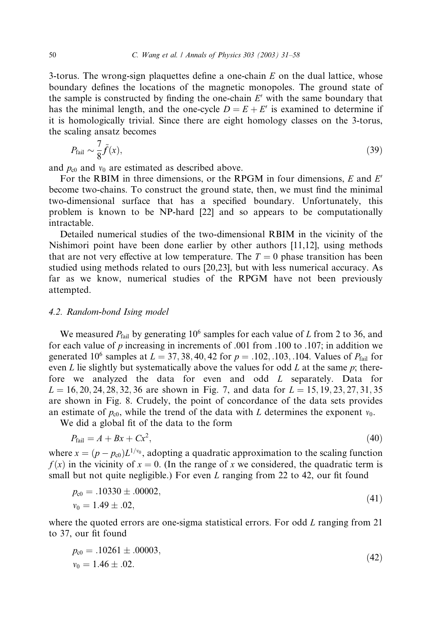3-torus. The wrong-sign plaquettes define a one-chain  $E$  on the dual lattice, whose boundary defines the locations of the magnetic monopoles. The ground state of the sample is constructed by finding the one-chain  $E'$  with the same boundary that has the minimal length, and the one-cycle  $D = E + E'$  is examined to determine if it is homologically trivial. Since there are eight homology classes on the 3-torus, the scaling ansatz becomes

$$
P_{\text{fail}} \sim \frac{7}{8} \tilde{f}(x),\tag{39}
$$

and  $p_{c0}$  and  $v_0$  are estimated as described above.

For the RBIM in three dimensions, or the RPGM in four dimensions,  $E$  and  $E'$ become two-chains. To construct the ground state, then, we must find the minimal two-dimensional surface that has a specified boundary. Unfortunately, this problem is known to be NP-hard [22] and so appears to be computationally intractable.

Detailed numerical studies of the two-dimensional RBIM in the vicinity of the Nishimori point have been done earlier by other authors [11,12], using methods that are not very effective at low temperature. The  $T = 0$  phase transition has been studied using methods related to ours [20,23], but with less numerical accuracy. As far as we know, numerical studies of the RPGM have not been previously attempted.

#### 4.2. Random-bond Ising model

We measured  $P_{fail}$  by generating 10<sup>6</sup> samples for each value of L from 2 to 36, and for each value of  $p$  increasing in increments of .001 from .100 to .107; in addition we generated 10<sup>6</sup> samples at  $L = 37, 38, 40, 42$  for  $p = .102, .103, .104$ . Values of  $P_{fail}$  for even L lie slightly but systematically above the values for odd L at the same  $p$ ; therefore we analyzed the data for even and odd L separately. Data for  $L = 16, 20, 24, 28, 32, 36$  are shown in Fig. 7, and data for  $L = 15, 19, 23, 27, 31, 35$ are shown in Fig. 8. Crudely, the point of concordance of the data sets provides an estimate of  $p_{c0}$ , while the trend of the data with L determines the exponent  $v_0$ .

We did a global fit of the data to the form

$$
P_{\text{fail}} = A + Bx + Cx^2,\tag{40}
$$

where  $x = (p - p_{c0})L^{1/v_0}$ , adopting a quadratic approximation to the scaling function  $f(x)$  in the vicinity of  $x = 0$ . (In the range of x we considered, the quadratic term is small but not quite negligible.) For even  $L$  ranging from 22 to 42, our fit found

$$
p_{c0} = .10330 \pm .00002,
$$
  
\n
$$
v_0 = 1.49 \pm .02,
$$
\n(41)

where the quoted errors are one-sigma statistical errors. For odd  $L$  ranging from 21 to 37, our fit found

$$
p_{c0} = .10261 \pm .00003,
$$
  
\n
$$
v_0 = 1.46 \pm .02.
$$
\n(42)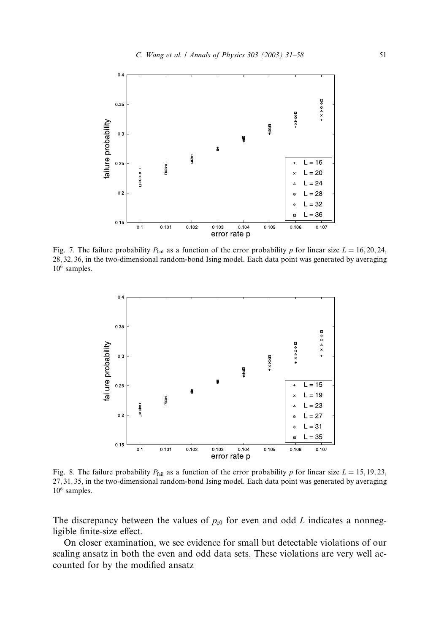

Fig. 7. The failure probability  $P_{\text{fail}}$  as a function of the error probability p for linear size  $L = 16, 20, 24$ ; 28; 32; 36, in the two-dimensional random-bond Ising model. Each data point was generated by averaging  $10<sup>6</sup>$  samples.



Fig. 8. The failure probability  $P_{\text{fail}}$  as a function of the error probability p for linear size  $L = 15, 19, 23$ ; 27; 31; 35, in the two-dimensional random-bond Ising model. Each data point was generated by averaging  $10<sup>6</sup>$  samples.

The discrepancy between the values of  $p_{c0}$  for even and odd L indicates a nonnegligible finite-size effect.

On closer examination, we see evidence for small but detectable violations of our scaling ansatz in both the even and odd data sets. These violations are very well accounted for by the modified ansatz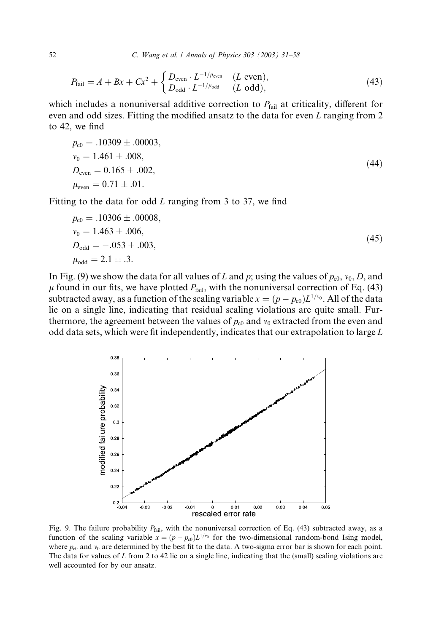52 C. Wang et al. / Annals of Physics 303 (2003) 31–58

$$
P_{\text{fail}} = A + Bx + Cx^2 + \begin{cases} D_{\text{even}} \cdot L^{-1/\mu_{\text{even}}} & (L \text{ even}), \\ D_{\text{odd}} \cdot L^{-1/\mu_{\text{odd}}} & (L \text{ odd}), \end{cases}
$$
(43)

which includes a nonuniversal additive correction to  $P_{\text{fail}}$  at criticality, different for even and odd sizes. Fitting the modified ansatz to the data for even L ranging from 2 to 42, we find

$$
p_{c0} = .10309 \pm .00003,
$$
  
\n
$$
v_0 = 1.461 \pm .008,
$$
  
\n
$$
D_{even} = 0.165 \pm .002,
$$
  
\n
$$
\mu_{even} = 0.71 \pm .01.
$$
\n(44)

Fitting to the data for odd  $L$  ranging from 3 to 37, we find

$$
p_{c0} = .10306 \pm .00008,
$$
  
\n
$$
v_0 = 1.463 \pm .006,
$$
  
\n
$$
D_{odd} = -.053 \pm .003,
$$
  
\n
$$
\mu_{odd} = 2.1 \pm .3.
$$
\n(45)

In Fig. (9) we show the data for all values of L and p; using the values of  $p_{c0}$ ,  $v_0$ , D, and  $\mu$  found in our fits, we have plotted  $P_{\text{fail}}$ , with the nonuniversal correction of Eq. (43) subtracted away, as a function of the scaling variable  $x = (p - p_{c0})L^{1/v_0}$ . All of the data lie on a single line, indicating that residual scaling violations are quite small. Furthermore, the agreement between the values of  $p_{c0}$  and  $v_0$  extracted from the even and odd data sets, which were fit independently, indicates that our extrapolation to large  $L$ 



Fig. 9. The failure probability  $P_{\text{fail}}$ , with the nonuniversal correction of Eq. (43) subtracted away, as a function of the scaling variable  $x = (p - p_0)L^{1/v_0}$  for the two-dimensional random-bond Ising model, where  $p_{c0}$  and  $v_0$  are determined by the best fit to the data. A two-sigma error bar is shown for each point. The data for values of L from 2 to 42 lie on a single line, indicating that the (small) scaling violations are well accounted for by our ansatz.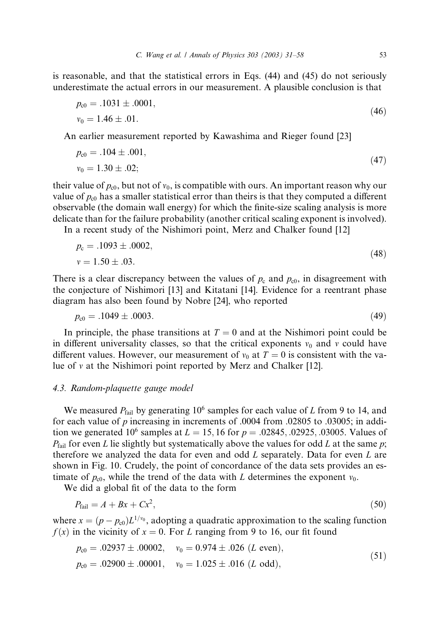is reasonable, and that the statistical errors in Eqs. (44) and (45) do not seriously underestimate the actual errors in our measurement. A plausible conclusion is that

$$
p_{c0} = .1031 \pm .0001,
$$
  
\n
$$
v_0 = 1.46 \pm .01.
$$
\n(46)

An earlier measurement reported by Kawashima and Rieger found [23]

$$
p_{c0} = .104 \pm .001,
$$
  
\n
$$
v_0 = 1.30 \pm .02;
$$
\n(47)

their value of  $p_{c0}$ , but not of  $v_0$ , is compatible with ours. An important reason why our value of  $p_{c0}$  has a smaller statistical error than theirs is that they computed a different observable (the domain wall energy) for which the finite-size scaling analysis is more delicate than for the failure probability (another critical scaling exponent is involved).

In a recent study of the Nishimori point, Merz and Chalker found [12]

$$
p_c = .1093 \pm .0002,
$$
  

$$
v = 1.50 \pm .03.
$$
 (48)

There is a clear discrepancy between the values of  $p_c$  and  $p_{c0}$ , in disagreement with the conjecture of Nishimori [13] and Kitatani [14]. Evidence for a reentrant phase diagram has also been found by Nobre [24], who reported

$$
p_{c0} = .1049 \pm .0003. \tag{49}
$$

In principle, the phase transitions at  $T = 0$  and at the Nishimori point could be in different universality classes, so that the critical exponents  $v_0$  and v could have different values. However, our measurement of  $v_0$  at  $T = 0$  is consistent with the value of  $\nu$  at the Nishimori point reported by Merz and Chalker [12].

# 4.3. Random-plaquette gauge model

We measured  $P_{fail}$  by generating 10<sup>6</sup> samples for each value of L from 9 to 14, and for each value of p increasing in increments of .0004 from .02805 to .03005; in addition we generated 10<sup>6</sup> samples at  $L = 15$ , 16 for  $p = .02845, .02925, .03005$ . Values of  $P_{\text{fail}}$  for even L lie slightly but systematically above the values for odd L at the same p; therefore we analyzed the data for even and odd  $L$  separately. Data for even  $L$  are shown in Fig. 10. Crudely, the point of concordance of the data sets provides an estimate of  $p_{c0}$ , while the trend of the data with L determines the exponent  $v_0$ .

We did a global fit of the data to the form

$$
P_{\text{fail}} = A + Bx + Cx^2,\tag{50}
$$

where  $x = (p - p_{c0})L^{1/v_0}$ , adopting a quadratic approximation to the scaling function  $f(x)$  in the vicinity of  $x = 0$ . For L ranging from 9 to 16, our fit found

$$
p_{c0} = .02937 \pm .00002, \quad v_0 = 0.974 \pm .026 \text{ (L even)},
$$
  
\n
$$
p_{c0} = .02900 \pm .00001, \quad v_0 = 1.025 \pm .016 \text{ (L odd)},
$$
\n(51)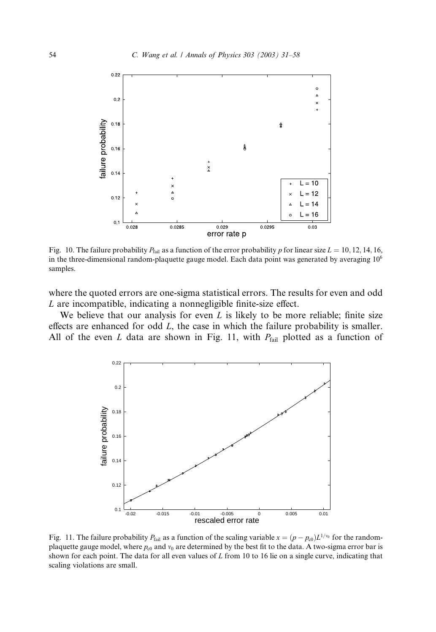

Fig. 10. The failure probability  $P_{\text{fail}}$  as a function of the error probability p for linear size  $L = 10, 12, 14, 16$ , in the three-dimensional random-plaquette gauge model. Each data point was generated by averaging  $10<sup>6</sup>$ samples.

where the quoted errors are one-sigma statistical errors. The results for even and odd L are incompatible, indicating a nonnegligible finite-size effect.

We believe that our analysis for even  $L$  is likely to be more reliable; finite size effects are enhanced for odd  $L$ , the case in which the failure probability is smaller. All of the even  $L$  data are shown in Fig. 11, with  $P_{fail}$  plotted as a function of



Fig. 11. The failure probability  $P_{\text{fail}}$  as a function of the scaling variable  $x = (p - p_{\text{col}})L^{1/v_0}$  for the randomplaquette gauge model, where  $p_{c0}$  and  $v_0$  are determined by the best fit to the data. A two-sigma error bar is shown for each point. The data for all even values of L from 10 to 16 lie on a single curve, indicating that scaling violations are small.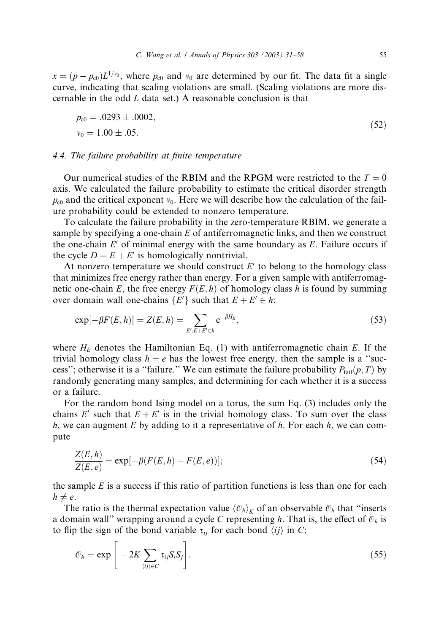$x = (p - p_{c0})L^{1/v_0}$ , where  $p_{c0}$  and  $v_0$  are determined by our fit. The data fit a single curve, indicating that scaling violations are small. (Scaling violations are more discernable in the odd L data set.) A reasonable conclusion is that

$$
p_{c0} = .0293 \pm .0002,
$$
  
\n
$$
v_0 = 1.00 \pm .05.
$$
\n(52)

#### 4.4. The failure probability at finite temperature

Our numerical studies of the RBIM and the RPGM were restricted to the  $T = 0$ axis. We calculated the failure probability to estimate the critical disorder strength  $p_{c0}$  and the critical exponent  $v_0$ . Here we will describe how the calculation of the failure probability could be extended to nonzero temperature.

To calculate the failure probability in the zero-temperature RBIM, we generate a sample by specifying a one-chain  $E$  of antiferromagnetic links, and then we construct the one-chain  $E'$  of minimal energy with the same boundary as E. Failure occurs if the cycle  $D = E + E'$  is homologically nontrivial.

At nonzero temperature we should construct  $E'$  to belong to the homology class that minimizes free energy rather than energy. For a given sample with antiferromagnetic one-chain E, the free energy  $F(E, h)$  of homology class h is found by summing over domain wall one-chains  $\{E'\}$  such that  $E + E' \in h$ :

$$
\exp[-\beta F(E,h)] = Z(E,h) = \sum_{E':E+E' \in h} e^{-\beta H_E},
$$
\n(53)

where  $H_E$  denotes the Hamiltonian Eq. (1) with antiferromagnetic chain E. If the trivial homology class  $h = e$  has the lowest free energy, then the sample is a "success"; otherwise it is a "failure." We can estimate the failure probability  $P_{\text{fail}}(p, T)$  by randomly generating many samples, and determining for each whether it is a success or a failure.

For the random bond Ising model on a torus, the sum Eq. (3) includes only the chains E' such that  $E + E'$  is in the trivial homology class. To sum over the class h, we can augment E by adding to it a representative of h. For each h, we can compute

$$
\frac{Z(E,h)}{Z(E,e)} = \exp[-\beta(F(E,h) - F(E,e))];
$$
\n(54)

the sample  $E$  is a success if this ratio of partition functions is less than one for each  $h \neq e$ .

The ratio is the thermal expectation value  $\langle \mathcal{O}_h \rangle_K$  of an observable  $\mathcal{O}_h$  that "inserts" a domain wall'' wrapping around a cycle C representing h. That is, the effect of  $\mathcal{O}_h$  is to flip the sign of the bond variable  $\tau_{ii}$  for each bond  $\langle ij \rangle$  in C:

$$
\mathcal{O}_h = \exp\left[-2K \sum_{\langle ij\rangle \in C} \tau_{ij} S_i S_j\right].
$$
\n(55)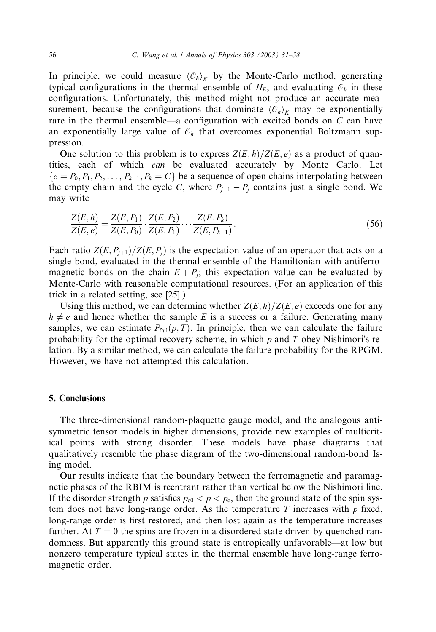In principle, we could measure  $\langle \mathcal{O}_h \rangle_K$  by the Monte-Carlo method, generating typical configurations in the thermal ensemble of  $H<sub>E</sub>$ , and evaluating  $\mathcal{O}_h$  in these configurations. Unfortunately, this method might not produce an accurate measurement, because the configurations that dominate  $\langle \mathcal{O}_h \rangle_K$  may be exponentially rare in the thermal ensemble—a configuration with excited bonds on C can have an exponentially large value of  $\mathcal{O}_h$  that overcomes exponential Boltzmann suppression.

One solution to this problem is to express  $Z(E, h)/Z(E, e)$  as a product of quantities, each of which can be evaluated accurately by Monte Carlo. Let  ${e = P_0, P_1, P_2, \ldots, P_{k-1}, P_k = C}$  be a sequence of open chains interpolating between the empty chain and the cycle C, where  $P_{i+1} - P_i$  contains just a single bond. We may write

$$
\frac{Z(E,h)}{Z(E,e)} = \frac{Z(E,P_1)}{Z(E,P_0)} \cdot \frac{Z(E,P_2)}{Z(E,P_1)} \cdots \frac{Z(E,P_k)}{Z(E,P_{k-1})}.
$$
\n(56)

Each ratio  $Z(E, P_{i+1})/Z(E, P_i)$  is the expectation value of an operator that acts on a single bond, evaluated in the thermal ensemble of the Hamiltonian with antiferromagnetic bonds on the chain  $E + P_i$ ; this expectation value can be evaluated by Monte-Carlo with reasonable computational resources. (For an application of this trick in a related setting, see [25].)

Using this method, we can determine whether  $Z(E, h)/Z(E, e)$  exceeds one for any  $h \neq e$  and hence whether the sample E is a success or a failure. Generating many samples, we can estimate  $P_{fail}(p, T)$ . In principle, then we can calculate the failure probability for the optimal recovery scheme, in which  $p$  and  $T$  obey Nishimori's relation. By a similar method, we can calculate the failure probability for the RPGM. However, we have not attempted this calculation.

# 5. Conclusions

The three-dimensional random-plaquette gauge model, and the analogous antisymmetric tensor models in higher dimensions, provide new examples of multicritical points with strong disorder. These models have phase diagrams that qualitatively resemble the phase diagram of the two-dimensional random-bond Ising model.

Our results indicate that the boundary between the ferromagnetic and paramagnetic phases of the RBIM is reentrant rather than vertical below the Nishimori line. If the disorder strength p satisfies  $p_{c0} < p < p_c$ , then the ground state of the spin system does not have long-range order. As the temperature  $T$  increases with  $p$  fixed, long-range order is first restored, and then lost again as the temperature increases further. At  $T = 0$  the spins are frozen in a disordered state driven by quenched randomness. But apparently this ground state is entropically unfavorable—at low but nonzero temperature typical states in the thermal ensemble have long-range ferromagnetic order.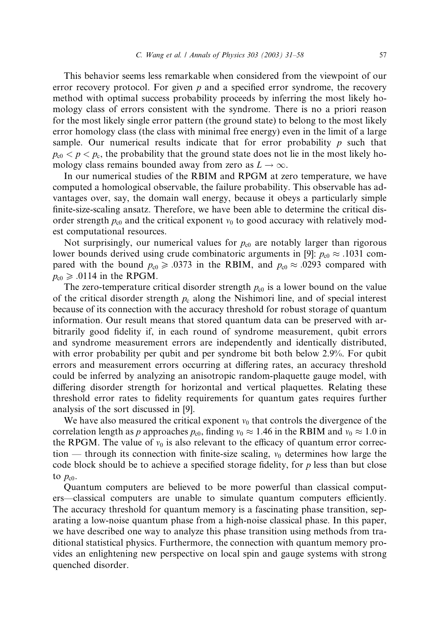This behavior seems less remarkable when considered from the viewpoint of our error recovery protocol. For given  $p$  and a specified error syndrome, the recovery method with optimal success probability proceeds by inferring the most likely homology class of errors consistent with the syndrome. There is no a priori reason for the most likely single error pattern (the ground state) to belong to the most likely error homology class (the class with minimal free energy) even in the limit of a large sample. Our numerical results indicate that for error probability  $p$  such that  $p_{c0} < p < p_c$ , the probability that the ground state does not lie in the most likely homology class remains bounded away from zero as  $L \rightarrow \infty$ .

In our numerical studies of the RBIM and RPGM at zero temperature, we have computed a homological observable, the failure probability. This observable has advantages over, say, the domain wall energy, because it obeys a particularly simple finite-size-scaling ansatz. Therefore, we have been able to determine the critical disorder strength  $p_{c0}$  and the critical exponent  $v_0$  to good accuracy with relatively modest computational resources.

Not surprisingly, our numerical values for  $p_{\rm c0}$  are notably larger than rigorous lower bounds derived using crude combinatoric arguments in [9]:  $p_{c0} \approx .1031$  compared with the bound  $p_{c0} \ge 0.0373$  in the RBIM, and  $p_{c0} \approx 0.0293$  compared with  $p_{c0} \geq 0.0114$  in the RPGM.

The zero-temperature critical disorder strength  $p_{c0}$  is a lower bound on the value of the critical disorder strength  $p_c$  along the Nishimori line, and of special interest because of its connection with the accuracy threshold for robust storage of quantum information. Our result means that stored quantum data can be preserved with arbitrarily good fidelity if, in each round of syndrome measurement, qubit errors and syndrome measurement errors are independently and identically distributed, with error probability per qubit and per syndrome bit both below 2.9%. For qubit errors and measurement errors occurring at differing rates, an accuracy threshold could be inferred by analyzing an anisotropic random-plaquette gauge model, with differing disorder strength for horizontal and vertical plaquettes. Relating these threshold error rates to fidelity requirements for quantum gates requires further analysis of the sort discussed in [9].

We have also measured the critical exponent  $v_0$  that controls the divergence of the correlation length as p approaches  $p_{c0}$ , finding  $v_0 \approx 1.46$  in the RBIM and  $v_0 \approx 1.0$  in the RPGM. The value of  $v_0$  is also relevant to the efficacy of quantum error correction — through its connection with finite-size scaling,  $v_0$  determines how large the code block should be to achieve a specified storage fidelity, for  $p$  less than but close to  $p_{c0}$ .

Quantum computers are believed to be more powerful than classical computers—classical computers are unable to simulate quantum computers efficiently. The accuracy threshold for quantum memory is a fascinating phase transition, separating a low-noise quantum phase from a high-noise classical phase. In this paper, we have described one way to analyze this phase transition using methods from traditional statistical physics. Furthermore, the connection with quantum memory provides an enlightening new perspective on local spin and gauge systems with strong quenched disorder.